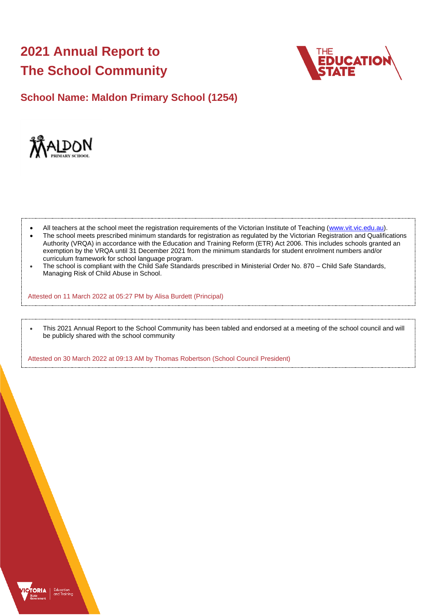# **2021 Annual Report to The School Community**



**School Name: Maldon Primary School (1254)**



- All teachers at the school meet the registration requirements of the Victorian Institute of Teaching [\(www.vit.vic.edu.au\)](https://www.vit.vic.edu.au/).
- The school meets prescribed minimum standards for registration as regulated by the Victorian Registration and Qualifications Authority (VRQA) in accordance with the Education and Training Reform (ETR) Act 2006. This includes schools granted an exemption by the VRQA until 31 December 2021 from the minimum standards for student enrolment numbers and/or curriculum framework for school language program.
- The school is compliant with the Child Safe Standards prescribed in Ministerial Order No. 870 Child Safe Standards, Managing Risk of Child Abuse in School.

Attested on 11 March 2022 at 05:27 PM by Alisa Burdett (Principal)

• This 2021 Annual Report to the School Community has been tabled and endorsed at a meeting of the school council and will be publicly shared with the school community

Attested on 30 March 2022 at 09:13 AM by Thomas Robertson (School Council President)

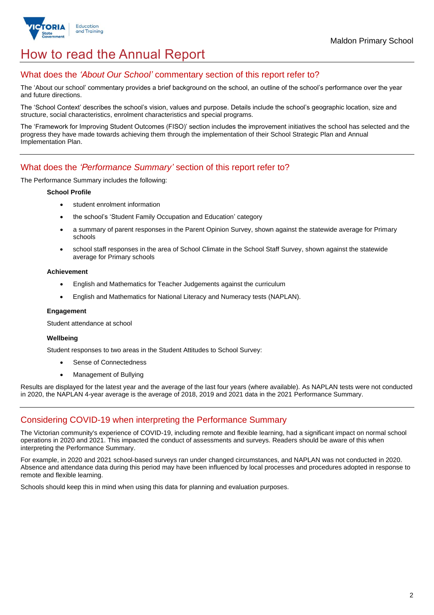

# How to read the Annual Report

### What does the *'About Our School'* commentary section of this report refer to?

The 'About our school' commentary provides a brief background on the school, an outline of the school's performance over the year and future directions.

The 'School Context' describes the school's vision, values and purpose. Details include the school's geographic location, size and structure, social characteristics, enrolment characteristics and special programs.

The 'Framework for Improving Student Outcomes (FISO)' section includes the improvement initiatives the school has selected and the progress they have made towards achieving them through the implementation of their School Strategic Plan and Annual Implementation Plan.

### What does the *'Performance Summary'* section of this report refer to?

The Performance Summary includes the following:

#### **School Profile**

- student enrolment information
- the school's 'Student Family Occupation and Education' category
- a summary of parent responses in the Parent Opinion Survey, shown against the statewide average for Primary schools
- school staff responses in the area of School Climate in the School Staff Survey, shown against the statewide average for Primary schools

#### **Achievement**

- English and Mathematics for Teacher Judgements against the curriculum
- English and Mathematics for National Literacy and Numeracy tests (NAPLAN).

#### **Engagement**

Student attendance at school

#### **Wellbeing**

Student responses to two areas in the Student Attitudes to School Survey:

- Sense of Connectedness
- Management of Bullying

Results are displayed for the latest year and the average of the last four years (where available). As NAPLAN tests were not conducted in 2020, the NAPLAN 4-year average is the average of 2018, 2019 and 2021 data in the 2021 Performance Summary.

## Considering COVID-19 when interpreting the Performance Summary

The Victorian community's experience of COVID-19, including remote and flexible learning, had a significant impact on normal school operations in 2020 and 2021. This impacted the conduct of assessments and surveys. Readers should be aware of this when interpreting the Performance Summary.

For example, in 2020 and 2021 school-based surveys ran under changed circumstances, and NAPLAN was not conducted in 2020. Absence and attendance data during this period may have been influenced by local processes and procedures adopted in response to remote and flexible learning.

Schools should keep this in mind when using this data for planning and evaluation purposes.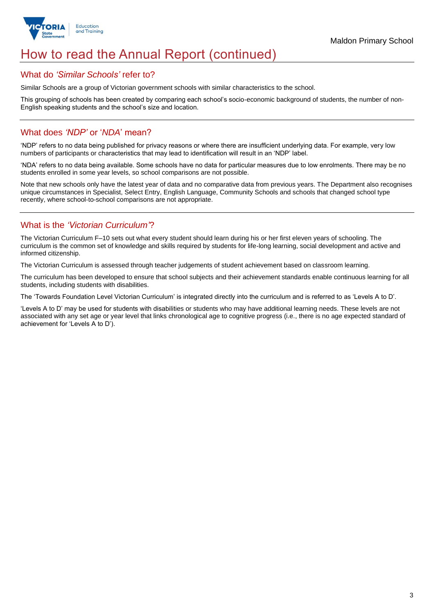

# How to read the Annual Report (continued)

### What do *'Similar Schools'* refer to?

Similar Schools are a group of Victorian government schools with similar characteristics to the school.

This grouping of schools has been created by comparing each school's socio-economic background of students, the number of non-English speaking students and the school's size and location.

### What does *'NDP'* or '*NDA*' mean?

'NDP' refers to no data being published for privacy reasons or where there are insufficient underlying data. For example, very low numbers of participants or characteristics that may lead to identification will result in an 'NDP' label.

'NDA' refers to no data being available. Some schools have no data for particular measures due to low enrolments. There may be no students enrolled in some year levels, so school comparisons are not possible.

Note that new schools only have the latest year of data and no comparative data from previous years. The Department also recognises unique circumstances in Specialist, Select Entry, English Language, Community Schools and schools that changed school type recently, where school-to-school comparisons are not appropriate.

## What is the *'Victorian Curriculum'*?

The Victorian Curriculum F–10 sets out what every student should learn during his or her first eleven years of schooling. The curriculum is the common set of knowledge and skills required by students for life-long learning, social development and active and informed citizenship.

The Victorian Curriculum is assessed through teacher judgements of student achievement based on classroom learning.

The curriculum has been developed to ensure that school subjects and their achievement standards enable continuous learning for all students, including students with disabilities.

The 'Towards Foundation Level Victorian Curriculum' is integrated directly into the curriculum and is referred to as 'Levels A to D'.

'Levels A to D' may be used for students with disabilities or students who may have additional learning needs. These levels are not associated with any set age or year level that links chronological age to cognitive progress (i.e., there is no age expected standard of achievement for 'Levels A to D').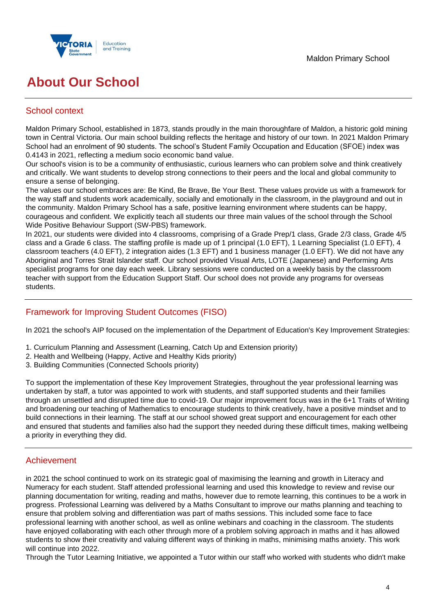

# **About Our School**

## School context

Maldon Primary School, established in 1873, stands proudly in the main thoroughfare of Maldon, a historic gold mining town in Central Victoria. Our main school building reflects the heritage and history of our town. In 2021 Maldon Primary School had an enrolment of 90 students. The school's Student Family Occupation and Education (SFOE) index was 0.4143 in 2021, reflecting a medium socio economic band value.

Our school's vision is to be a community of enthusiastic, curious learners who can problem solve and think creatively and critically. We want students to develop strong connections to their peers and the local and global community to ensure a sense of belonging.

The values our school embraces are: Be Kind, Be Brave, Be Your Best. These values provide us with a framework for the way staff and students work academically, socially and emotionally in the classroom, in the playground and out in the community. Maldon Primary School has a safe, positive learning environment where students can be happy, courageous and confident. We explicitly teach all students our three main values of the school through the School Wide Positive Behaviour Support (SW-PBS) framework.

In 2021, our students were divided into 4 classrooms, comprising of a Grade Prep/1 class, Grade 2/3 class, Grade 4/5 class and a Grade 6 class. The staffing profile is made up of 1 principal (1.0 EFT), 1 Learning Specialist (1.0 EFT), 4 classroom teachers (4.0 EFT), 2 integration aides (1.3 EFT) and 1 business manager (1.0 EFT). We did not have any Aboriginal and Torres Strait Islander staff. Our school provided Visual Arts, LOTE (Japanese) and Performing Arts specialist programs for one day each week. Library sessions were conducted on a weekly basis by the classroom teacher with support from the Education Support Staff. Our school does not provide any programs for overseas students.

## Framework for Improving Student Outcomes (FISO)

In 2021 the school's AIP focused on the implementation of the Department of Education's Key Improvement Strategies:

- 1. Curriculum Planning and Assessment (Learning, Catch Up and Extension priority)
- 2. Health and Wellbeing (Happy, Active and Healthy Kids priority)
- 3. Building Communities (Connected Schools priority)

To support the implementation of these Key Improvement Strategies, throughout the year professional learning was undertaken by staff, a tutor was appointed to work with students, and staff supported students and their families through an unsettled and disrupted time due to covid-19. Our major improvement focus was in the 6+1 Traits of Writing and broadening our teaching of Mathematics to encourage students to think creatively, have a positive mindset and to build connections in their learning. The staff at our school showed great support and encouragement for each other and ensured that students and families also had the support they needed during these difficult times, making wellbeing a priority in everything they did.

## Achievement

in 2021 the school continued to work on its strategic goal of maximising the learning and growth in Literacy and Numeracy for each student. Staff attended professional learning and used this knowledge to review and revise our planning documentation for writing, reading and maths, however due to remote learning, this continues to be a work in progress. Professional Learning was delivered by a Maths Consultant to improve our maths planning and teaching to ensure that problem solving and differentiation was part of maths sessions. This included some face to face professional learning with another school, as well as online webinars and coaching in the classroom. The students have enjoyed collaborating with each other through more of a problem solving approach in maths and it has allowed students to show their creativity and valuing different ways of thinking in maths, minimising maths anxiety. This work will continue into 2022.

Through the Tutor Learning Initiative, we appointed a Tutor within our staff who worked with students who didn't make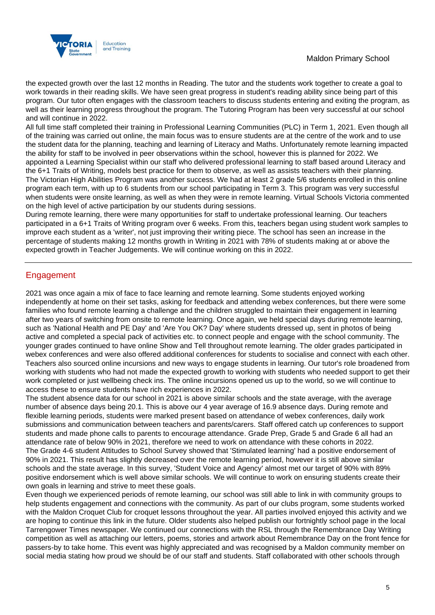

the expected growth over the last 12 months in Reading. The tutor and the students work together to create a goal to work towards in their reading skills. We have seen great progress in student's reading ability since being part of this program. Our tutor often engages with the classroom teachers to discuss students entering and exiting the program, as well as their learning progress throughout the program. The Tutoring Program has been very successful at our school and will continue in 2022.

All full time staff completed their training in Professional Learning Communities (PLC) in Term 1, 2021. Even though all of the training was carried out online, the main focus was to ensure students are at the centre of the work and to use the student data for the planning, teaching and learning of Literacy and Maths. Unfortunately remote learning impacted the ability for staff to be involved in peer observations within the school, however this is planned for 2022. We appointed a Learning Specialist within our staff who delivered professional learning to staff based around Literacy and the 6+1 Traits of Writing, models best practice for them to observe, as well as assists teachers with their planning. The Victorian High Abilities Program was another success. We had at least 2 grade 5/6 students enrolled in this online program each term, with up to 6 students from our school participating in Term 3. This program was very successful when students were onsite learning, as well as when they were in remote learning. Virtual Schools Victoria commented on the high level of active participation by our students during sessions.

During remote learning, there were many opportunities for staff to undertake professional learning. Our teachers participated in a 6+1 Traits of Writing program over 6 weeks. From this, teachers began using student work samples to improve each student as a 'writer', not just improving their writing piece. The school has seen an increase in the percentage of students making 12 months growth in Writing in 2021 with 78% of students making at or above the expected growth in Teacher Judgements. We will continue working on this in 2022.

## Engagement

2021 was once again a mix of face to face learning and remote learning. Some students enjoyed working independently at home on their set tasks, asking for feedback and attending webex conferences, but there were some families who found remote learning a challenge and the children struggled to maintain their engagement in learning after two years of switching from onsite to remote learning. Once again, we held special days during remote learning, such as 'National Health and PE Day' and 'Are You OK? Day' where students dressed up, sent in photos of being active and completed a special pack of activities etc. to connect people and engage with the school community. The younger grades continued to have online Show and Tell throughout remote learning. The older grades participated in webex conferences and were also offered additional conferences for students to socialise and connect with each other. Teachers also sourced online incursions and new ways to engage students in learning. Our tutor's role broadened from working with students who had not made the expected growth to working with students who needed support to get their work completed or just wellbeing check ins. The online incursions opened us up to the world, so we will continue to access these to ensure students have rich experiences in 2022.

The student absence data for our school in 2021 is above similar schools and the state average, with the average number of absence days being 20.1. This is above our 4 year average of 16.9 absence days. During remote and flexible learning periods, students were marked present based on attendance of webex conferences, daily work submissions and communication between teachers and parents/carers. Staff offered catch up conferences to support students and made phone calls to parents to encourage attendance. Grade Prep, Grade 5 and Grade 6 all had an attendance rate of below 90% in 2021, therefore we need to work on attendance with these cohorts in 2022. The Grade 4-6 student Attitudes to School Survey showed that 'Stimulated learning' had a positive endorsement of 90% in 2021. This result has slightly decreased over the remote learning period, however it is still above similar schools and the state average. In this survey, 'Student Voice and Agency' almost met our target of 90% with 89% positive endorsement which is well above similar schools. We will continue to work on ensuring students create their own goals in learning and strive to meet these goals.

Even though we experienced periods of remote learning, our school was still able to link in with community groups to help students engagement and connections with the community. As part of our clubs program, some students worked with the Maldon Croquet Club for croquet lessons throughout the year. All parties involved enjoyed this activity and we are hoping to continue this link in the future. Older students also helped publish our fortnightly school page in the local Tarrengower Times newspaper. We continued our connections with the RSL through the Remembrance Day Writing competition as well as attaching our letters, poems, stories and artwork about Remembrance Day on the front fence for passers-by to take home. This event was highly appreciated and was recognised by a Maldon community member on social media stating how proud we should be of our staff and students. Staff collaborated with other schools through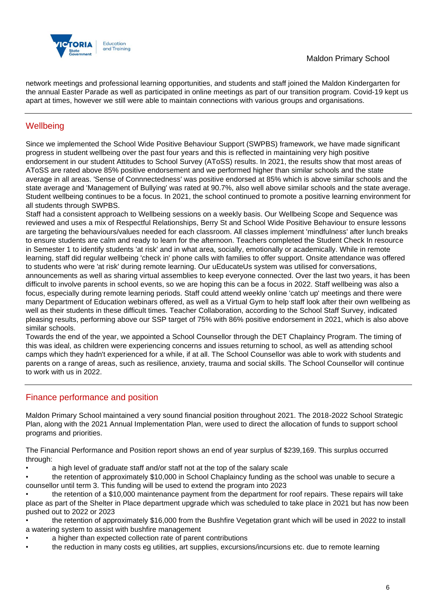

network meetings and professional learning opportunities, and students and staff joined the Maldon Kindergarten for the annual Easter Parade as well as participated in online meetings as part of our transition program. Covid-19 kept us apart at times, however we still were able to maintain connections with various groups and organisations.

## **Wellbeing**

Since we implemented the School Wide Positive Behaviour Support (SWPBS) framework, we have made significant progress in student wellbeing over the past four years and this is reflected in maintaining very high positive endorsement in our student Attitudes to School Survey (AToSS) results. In 2021, the results show that most areas of AToSS are rated above 85% positive endorsement and we performed higher than similar schools and the state average in all areas. 'Sense of Connnectedness' was positive endorsed at 85% which is above similar schools and the state average and 'Management of Bullying' was rated at 90.7%, also well above similar schools and the state average. Student wellbeing continues to be a focus. In 2021, the school continued to promote a positive learning environment for all students through SWPBS.

Staff had a consistent approach to Wellbeing sessions on a weekly basis. Our Wellbeing Scope and Sequence was reviewed and uses a mix of Respectful Relationships, Berry St and School Wide Positive Behaviour to ensure lessons are targeting the behaviours/values needed for each classroom. All classes implement 'mindfulness' after lunch breaks to ensure students are calm and ready to learn for the afternoon. Teachers completed the Student Check In resource in Semester 1 to identify students 'at risk' and in what area, socially, emotionally or academically. While in remote learning, staff did regular wellbeing 'check in' phone calls with families to offer support. Onsite attendance was offered to students who were 'at risk' during remote learning. Our uEducateUs system was utilised for conversations, announcements as well as sharing virtual assemblies to keep everyone connected. Over the last two years, it has been difficult to involve parents in school events, so we are hoping this can be a focus in 2022. Staff wellbeing was also a focus, especially during remote learning periods. Staff could attend weekly online 'catch up' meetings and there were many Department of Education webinars offered, as well as a Virtual Gym to help staff look after their own wellbeing as well as their students in these difficult times. Teacher Collaboration, according to the School Staff Survey, indicated pleasing results, performing above our SSP target of 75% with 86% positive endorsement in 2021, which is also above similar schools.

Towards the end of the year, we appointed a School Counsellor through the DET Chaplaincy Program. The timing of this was ideal, as children were experiencing concerns and issues returning to school, as well as attending school camps which they hadn't experienced for a while, if at all. The School Counsellor was able to work with students and parents on a range of areas, such as resilience, anxiety, trauma and social skills. The School Counsellor will continue to work with us in 2022.

## Finance performance and position

Maldon Primary School maintained a very sound financial position throughout 2021. The 2018-2022 School Strategic Plan, along with the 2021 Annual Implementation Plan, were used to direct the allocation of funds to support school programs and priorities.

The Financial Performance and Position report shows an end of year surplus of \$239,169. This surplus occurred through:

- a high level of graduate staff and/or staff not at the top of the salary scale
- the retention of approximately \$10,000 in School Chaplaincy funding as the school was unable to secure a counsellor until term 3. This funding will be used to extend the program into 2023
- the retention of a \$10,000 maintenance payment from the department for roof repairs. These repairs will take place as part of the Shelter in Place department upgrade which was scheduled to take place in 2021 but has now been pushed out to 2022 or 2023
- the retention of approximately \$16,000 from the Bushfire Vegetation grant which will be used in 2022 to install a watering system to assist with bushfire management
- a higher than expected collection rate of parent contributions
- the reduction in many costs eg utilities, art supplies, excursions/incursions etc. due to remote learning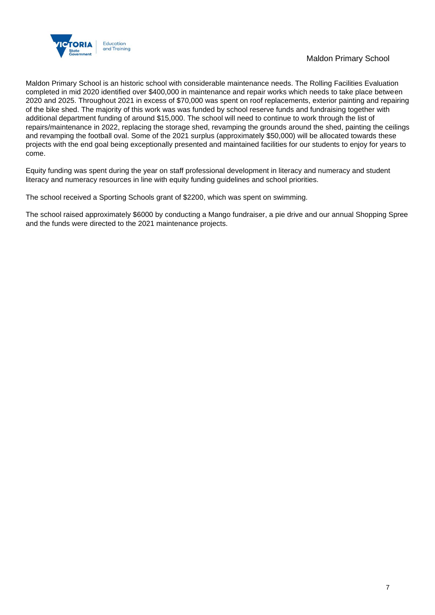

### Maldon Primary School

Maldon Primary School is an historic school with considerable maintenance needs. The Rolling Facilities Evaluation completed in mid 2020 identified over \$400,000 in maintenance and repair works which needs to take place between 2020 and 2025. Throughout 2021 in excess of \$70,000 was spent on roof replacements, exterior painting and repairing of the bike shed. The majority of this work was was funded by school reserve funds and fundraising together with additional department funding of around \$15,000. The school will need to continue to work through the list of repairs/maintenance in 2022, replacing the storage shed, revamping the grounds around the shed, painting the ceilings and revamping the football oval. Some of the 2021 surplus (approximately \$50,000) will be allocated towards these projects with the end goal being exceptionally presented and maintained facilities for our students to enjoy for years to come.

Equity funding was spent during the year on staff professional development in literacy and numeracy and student literacy and numeracy resources in line with equity funding guidelines and school priorities.

The school received a Sporting Schools grant of \$2200, which was spent on swimming.

The school raised approximately \$6000 by conducting a Mango fundraiser, a pie drive and our annual Shopping Spree and the funds were directed to the 2021 maintenance projects.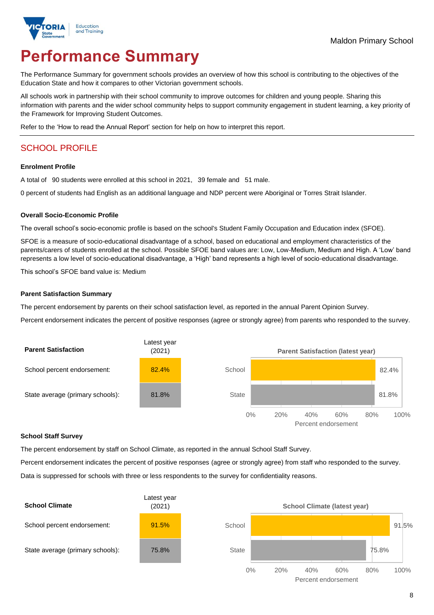

# **Performance Summary**

The Performance Summary for government schools provides an overview of how this school is contributing to the objectives of the Education State and how it compares to other Victorian government schools.

All schools work in partnership with their school community to improve outcomes for children and young people. Sharing this information with parents and the wider school community helps to support community engagement in student learning, a key priority of the Framework for Improving Student Outcomes.

Refer to the 'How to read the Annual Report' section for help on how to interpret this report.

## SCHOOL PROFILE

#### **Enrolment Profile**

A total of 90 students were enrolled at this school in 2021, 39 female and 51 male.

0 percent of students had English as an additional language and NDP percent were Aboriginal or Torres Strait Islander.

#### **Overall Socio-Economic Profile**

The overall school's socio-economic profile is based on the school's Student Family Occupation and Education index (SFOE).

SFOE is a measure of socio-educational disadvantage of a school, based on educational and employment characteristics of the parents/carers of students enrolled at the school. Possible SFOE band values are: Low, Low-Medium, Medium and High. A 'Low' band represents a low level of socio-educational disadvantage, a 'High' band represents a high level of socio-educational disadvantage.

This school's SFOE band value is: Medium

#### **Parent Satisfaction Summary**

The percent endorsement by parents on their school satisfaction level, as reported in the annual Parent Opinion Survey.

Percent endorsement indicates the percent of positive responses (agree or strongly agree) from parents who responded to the survey.



#### **School Staff Survey**

The percent endorsement by staff on School Climate, as reported in the annual School Staff Survey.

Percent endorsement indicates the percent of positive responses (agree or strongly agree) from staff who responded to the survey.

Data is suppressed for schools with three or less respondents to the survey for confidentiality reasons.

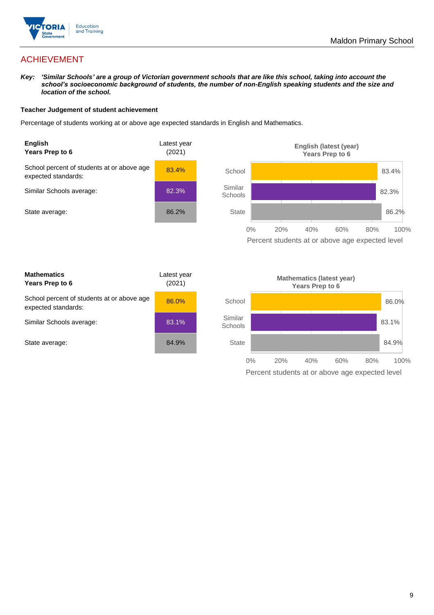

## ACHIEVEMENT

*Key: 'Similar Schools' are a group of Victorian government schools that are like this school, taking into account the school's socioeconomic background of students, the number of non-English speaking students and the size and location of the school.*

#### **Teacher Judgement of student achievement**

Percentage of students working at or above age expected standards in English and Mathematics.



Percent students at or above age expected level

| <b>Mathematics</b><br>Years Prep to 6                             | Latest year<br>(2021) |
|-------------------------------------------------------------------|-----------------------|
| School percent of students at or above age<br>expected standards: | 86.0%                 |
| Similar Schools average:                                          | 83.1%                 |
| State average:                                                    | 84.9%                 |

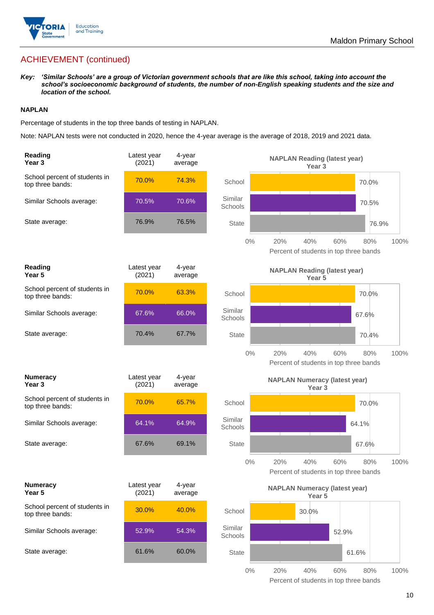

## ACHIEVEMENT (continued)

*Key: 'Similar Schools' are a group of Victorian government schools that are like this school, taking into account the school's socioeconomic background of students, the number of non-English speaking students and the size and location of the school.*

#### **NAPLAN**

Percentage of students in the top three bands of testing in NAPLAN.

Note: NAPLAN tests were not conducted in 2020, hence the 4-year average is the average of 2018, 2019 and 2021 data.

| Reading<br>Year <sub>3</sub>                      | Latest year<br>(2021) | 4-year<br>average |                    | <b>NAPLAN Reading (latest year)</b><br>Year 3             |                                                      |      |
|---------------------------------------------------|-----------------------|-------------------|--------------------|-----------------------------------------------------------|------------------------------------------------------|------|
| School percent of students in<br>top three bands: | 70.0%                 | 74.3%             | School             |                                                           | 70.0%                                                |      |
| Similar Schools average:                          | 70.5%                 | 70.6%             | Similar<br>Schools |                                                           | 70.5%                                                |      |
| State average:                                    | 76.9%                 | 76.5%             | State              |                                                           | 76.9%                                                |      |
|                                                   |                       |                   | $0\%$              | 20%<br>40%                                                | 60%<br>80%<br>Percent of students in top three bands | 100% |
| Reading<br>Year 5                                 | Latest year<br>(2021) | 4-year<br>average |                    | <b>NAPLAN Reading (latest year)</b><br>Year 5             |                                                      |      |
| School percent of students in<br>top three bands: | 70.0%                 | 63.3%             | School             |                                                           | 70.0%                                                |      |
| Similar Schools average:                          | 67.6%                 | 66.0%             | Similar<br>Schools |                                                           | 67.6%                                                |      |
| State average:                                    | 70.4%                 | 67.7%             | <b>State</b>       |                                                           | 70.4%                                                |      |
|                                                   |                       |                   | $0\%$              | 20%<br>40%                                                | 60%<br>80%<br>Percent of students in top three bands | 100% |
| <b>Numeracy</b><br>Year <sub>3</sub>              | Latest year<br>(2021) | 4-year<br>average |                    | <b>NAPLAN Numeracy (latest year)</b><br>Year <sub>3</sub> |                                                      |      |
| School percent of students in<br>top three bands: | 70.0%                 | 65.7%             | School             |                                                           | 70.0%                                                |      |
| Similar Schools average:                          | 64.1%                 | 64.9%             | Similar<br>Schools |                                                           | 64.1%                                                |      |
| State average:                                    | 67.6%                 | 69.1%             | <b>State</b>       |                                                           | 67.6%                                                |      |
|                                                   |                       |                   | $0\%$              | 20%<br>40%                                                | 60%<br>80%<br>Percent of students in top three bands | 100% |
| <b>Numeracy</b><br>Year 5                         | Latest year<br>(2021) | 4-year<br>average |                    | <b>NAPLAN Numeracy (latest year)</b><br>Year 5            |                                                      |      |
| School percent of students in<br>top three bands: | 30.0%                 | 40.0%             | School             | 30.0%                                                     |                                                      |      |
| Similar Schools average:                          | 52.9%                 | 54.3%             | Similar<br>Schools |                                                           | 52.9%                                                |      |
|                                                   |                       |                   |                    |                                                           |                                                      |      |
| State average:                                    | 61.6%                 | 60.0%             | <b>State</b>       |                                                           | 61.6%                                                |      |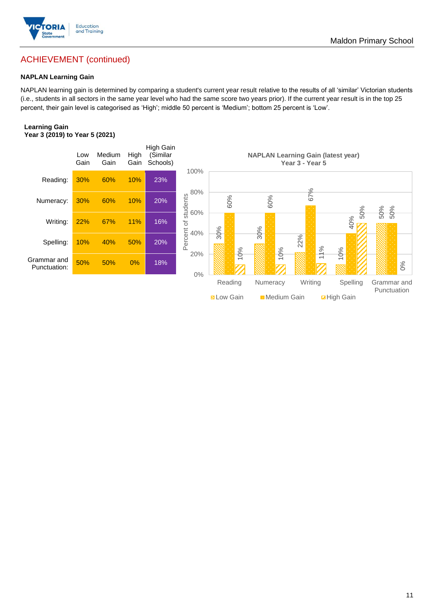

## Maldon Primary School

## ACHIEVEMENT (continued)

#### **NAPLAN Learning Gain**

NAPLAN learning gain is determined by comparing a student's current year result relative to the results of all 'similar' Victorian students (i.e., students in all sectors in the same year level who had the same score two years prior). If the current year result is in the top 25 percent, their gain level is categorised as 'High'; middle 50 percent is 'Medium'; bottom 25 percent is 'Low'.

#### **Learning Gain Year 3 (2019) to Year 5 (2021)**

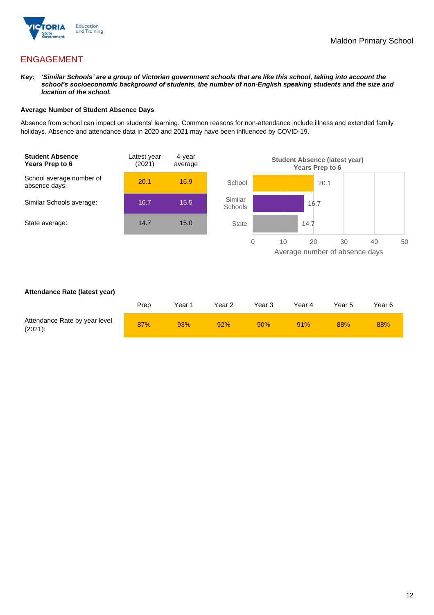

## ENGAGEMENT

*Key: 'Similar Schools' are a group of Victorian government schools that are like this school, taking into account the school's socioeconomic background of students, the number of non-English speaking students and the size and location of the school.*

#### **Average Number of Student Absence Days**

Absence from school can impact on students' learning. Common reasons for non-attendance include illness and extended family holidays. Absence and attendance data in 2020 and 2021 may have been influenced by COVID-19.



#### **Attendance Rate (latest year)**

|                                             | Prep | Year 1 | Year 2 | Year 3 | Year 4 | Year 5 | Year 6 |
|---------------------------------------------|------|--------|--------|--------|--------|--------|--------|
| Attendance Rate by year level<br>$(2021)$ : | 87%  | 93%    | 92%    | 90%    | 91%    | 88%    | 88%    |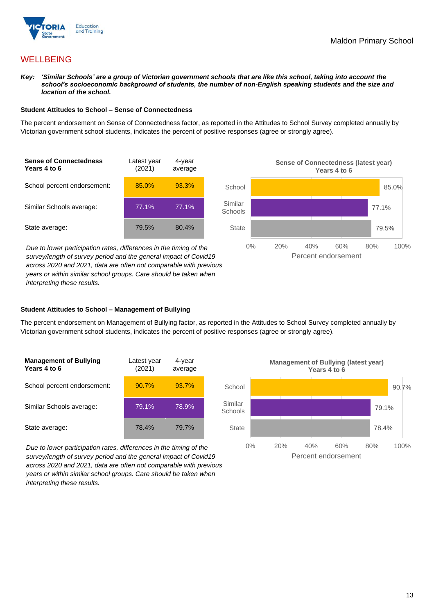

## **WELLBEING**

*Key: 'Similar Schools' are a group of Victorian government schools that are like this school, taking into account the*  school's socioeconomic background of students, the number of non-English speaking students and the size and *location of the school.*

#### **Student Attitudes to School – Sense of Connectedness**

The percent endorsement on Sense of Connectedness factor, as reported in the Attitudes to School Survey completed annually by Victorian government school students, indicates the percent of positive responses (agree or strongly agree).



*Due to lower participation rates, differences in the timing of the survey/length of survey period and the general impact of Covid19 across 2020 and 2021, data are often not comparable with previous years or within similar school groups. Care should be taken when interpreting these results.*



#### **Student Attitudes to School – Management of Bullying**

The percent endorsement on Management of Bullying factor, as reported in the Attitudes to School Survey completed annually by Victorian government school students, indicates the percent of positive responses (agree or strongly agree).

| <b>Management of Bullying</b><br>Years 4 to 6 | Latest year<br>(2021) | 4-year<br>average |  |
|-----------------------------------------------|-----------------------|-------------------|--|
| School percent endorsement:                   | 90.7%                 | 93.7%             |  |
| Similar Schools average:                      | 79.1%                 | 78.9%             |  |
| State average:                                | 78.4%                 | 79.7%             |  |

*Due to lower participation rates, differences in the timing of the survey/length of survey period and the general impact of Covid19 across 2020 and 2021, data are often not comparable with previous years or within similar school groups. Care should be taken when interpreting these results.*

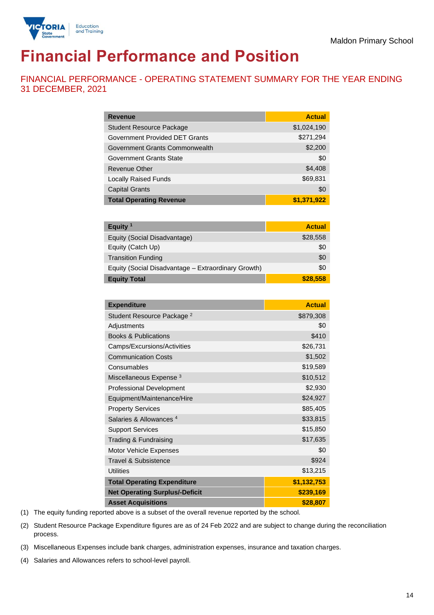

# **Financial Performance and Position**

FINANCIAL PERFORMANCE - OPERATING STATEMENT SUMMARY FOR THE YEAR ENDING 31 DECEMBER, 2021

| <b>Revenue</b>                        | <b>Actual</b> |
|---------------------------------------|---------------|
| <b>Student Resource Package</b>       | \$1,024,190   |
| <b>Government Provided DET Grants</b> | \$271,294     |
| Government Grants Commonwealth        | \$2,200       |
| Government Grants State               | \$0           |
| <b>Revenue Other</b>                  | \$4,408       |
| <b>Locally Raised Funds</b>           | \$69,831      |
| <b>Capital Grants</b>                 | \$0           |
| <b>Total Operating Revenue</b>        | \$1,371,922   |

| Equity <sup>1</sup>                                 | <b>Actual</b> |
|-----------------------------------------------------|---------------|
| Equity (Social Disadvantage)                        | \$28,558      |
| Equity (Catch Up)                                   | \$0           |
| <b>Transition Funding</b>                           | \$0           |
| Equity (Social Disadvantage - Extraordinary Growth) | \$0           |
| <b>Equity Total</b>                                 | \$28,558      |

| <b>Expenditure</b>                    | <b>Actual</b> |
|---------------------------------------|---------------|
| Student Resource Package <sup>2</sup> | \$879,308     |
| Adjustments                           | \$0           |
| <b>Books &amp; Publications</b>       | \$410         |
| Camps/Excursions/Activities           | \$26,731      |
| <b>Communication Costs</b>            | \$1,502       |
| Consumables                           | \$19,589      |
| Miscellaneous Expense <sup>3</sup>    | \$10,512      |
| <b>Professional Development</b>       | \$2,930       |
| Equipment/Maintenance/Hire            | \$24,927      |
| <b>Property Services</b>              | \$85,405      |
| Salaries & Allowances <sup>4</sup>    | \$33,815      |
| <b>Support Services</b>               | \$15,850      |
| Trading & Fundraising                 | \$17,635      |
| Motor Vehicle Expenses                | \$0           |
| Travel & Subsistence                  | \$924         |
| <b>Utilities</b>                      | \$13,215      |
| <b>Total Operating Expenditure</b>    | \$1,132,753   |
| <b>Net Operating Surplus/-Deficit</b> | \$239,169     |
| <b>Asset Acquisitions</b>             | \$28,807      |

(1) The equity funding reported above is a subset of the overall revenue reported by the school.

(2) Student Resource Package Expenditure figures are as of 24 Feb 2022 and are subject to change during the reconciliation process.

(3) Miscellaneous Expenses include bank charges, administration expenses, insurance and taxation charges.

(4) Salaries and Allowances refers to school-level payroll.